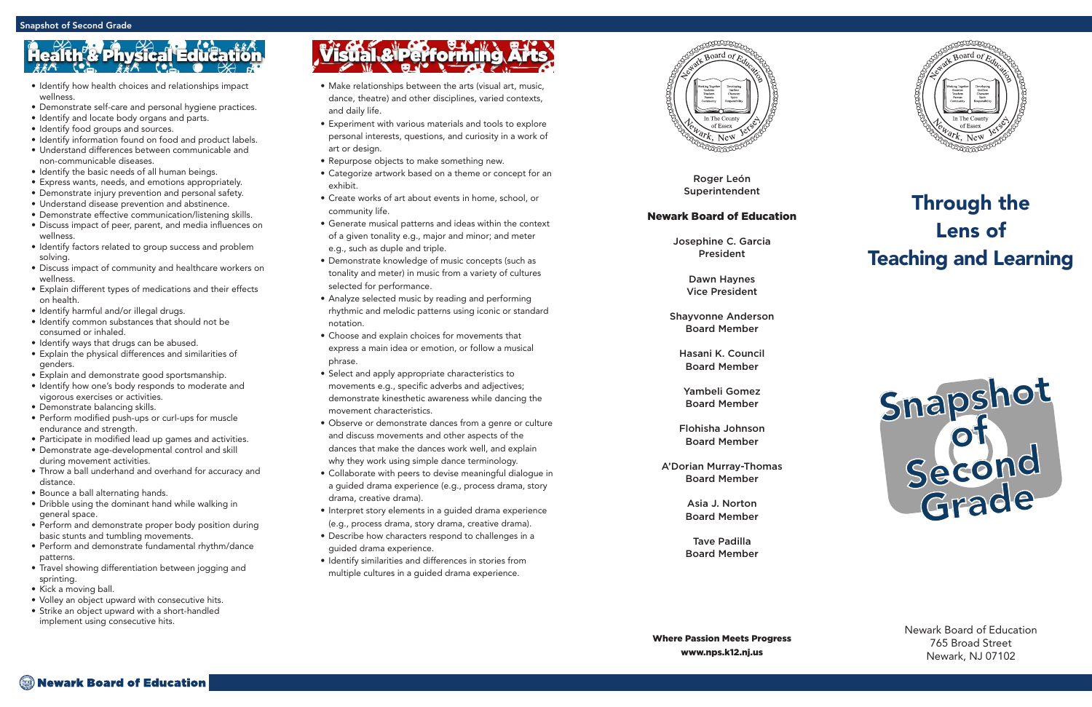Roger León Superintendent

#### Newark Board of Education

Josephine C. Garcia President

> Dawn Haynes Vice President

Shayvonne Anderson Board Member

Hasani K. Council Board Member

Yambeli Gomez Board Member

Flohisha Johnson Board Member

A'Dorian Murray-Thomas Board Member

> Asia J. Norton Board Member

> Tave Padilla Board Member



### Through the Lens of Teaching and Learning

Newark Board of Education 765 Broad Street Newark, NJ 07102

- Make relationships between the arts (visual art, music, dance, theatre) and other disciplines, varied contexts, and daily life.
- Experiment with various materials and tools to explore personal interests, questions, and curiosity in a work of art or design.
- Repurpose objects to make something new.
- Categorize artwork based on a theme or concept for an exhibit.
- Create works of art about events in home, school, or community life.
- Generate musical patterns and ideas within the context of a given tonality e.g., major and minor; and meter e.g., such as duple and triple.
- Demonstrate knowledge of music concepts (such as tonality and meter) in music from a variety of cultures selected for performance.
- Analyze selected music by reading and performing rhythmic and melodic patterns using iconic or standard notation.
- Choose and explain choices for movements that express a main idea or emotion, or follow a musical phrase.
- Select and apply appropriate characteristics to movements e.g., specific adverbs and adjectives; demonstrate kinesthetic awareness while dancing the movement characteristics.
- Observe or demonstrate dances from a genre or culture and discuss movements and other aspects of the dances that make the dances work well, and explain why they work using simple dance terminology.
- Collaborate with peers to devise meaningful dialogue in a guided drama experience (e.g., process drama, story drama, creative drama).
- Interpret story elements in a guided drama experience (e.g., process drama, story drama, creative drama).
- Describe how characters respond to challenges in a guided drama experience.
- Identify similarities and differences in stories from multiple cultures in a guided drama experience.



## **Physical Edu**

- Identify how health choices and relationships impact wellness.
- Demonstrate self-care and personal hygiene practices.
- Identify and locate body organs and parts.
- Identify food groups and sources.
- Identify information found on food and product labels.
- Understand differences between communicable and non-communicable diseases.
- Identify the basic needs of all human beings.
- Express wants, needs, and emotions appropriately.
- Demonstrate injury prevention and personal safety.
- Understand disease prevention and abstinence.
- Demonstrate effective communication/listening skills.
- Discuss impact of peer, parent, and media influences on wellness.
- Identify factors related to group success and problem solving.
- Discuss impact of community and healthcare workers on wellness.
- Explain different types of medications and their effects on health.
- Identify harmful and/or illegal drugs.
- Identify common substances that should not be consumed or inhaled.
- 
- Identify ways that drugs can be abused. Explain the physical differences and similarities of genders.
- Explain and demonstrate good sportsmanship.
- Identify how one's body responds to moderate and vigorous exercises or activities.
- Demonstrate balancing skills.
- Perform modified push-ups or curl-ups for muscle endurance and strength.
- Participate in modified lead up games and activities.
- Demonstrate age-developmental control and skill during movement activities.
- Throw a ball underhand and overhand for accuracy and distance.
- Bounce a ball alternating hands.
- Dribble using the dominant hand while walking in general space.
- Perform and demonstrate proper body position during basic stunts and tumbling movements.
- Perform and demonstrate fundamental rhythm/dance patterns.
- Travel showing differentiation between jogging and sprinting.
- Kick a moving ball.
- Volley an object upward with consecutive hits. Strike an object upward with a short-handled
- implement using consecutive hits.

# Visual & Performing